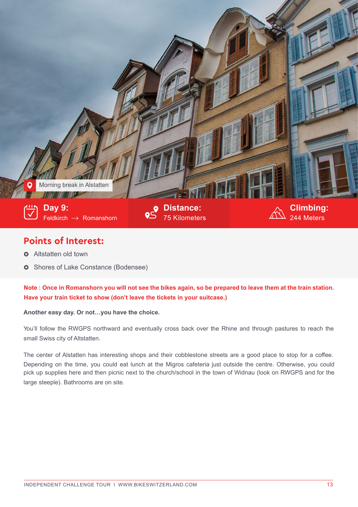

## **Points of Interest:**

- **o** Altstatten old town
- $\bullet\;$  Shores of Lake Constance (Bodensee)

**Note : Once in Romanshorn you will not see the bikes again, so be prepared to leave them at the train station. Have your train ticket to show (don't leave the tickets in your suitcase.)**

## **Another easy day. Or not…you have the choice.**

You'll follow the RWGPS northward and eventually cross back over the Rhine and through pastures to reach the small Swiss city of Altstatten.

The center of Alstatten has interesting shops and their cobblestone streets are a good place to stop for a coffee. Depending on the time, you could eat lunch at the Migros cafeteria just outside the centre. Otherwise, you could pick up supplies here and then picnic next to the church/school in the town of Widnau (look on RWGPS and for the large steeple). Bathrooms are on site.